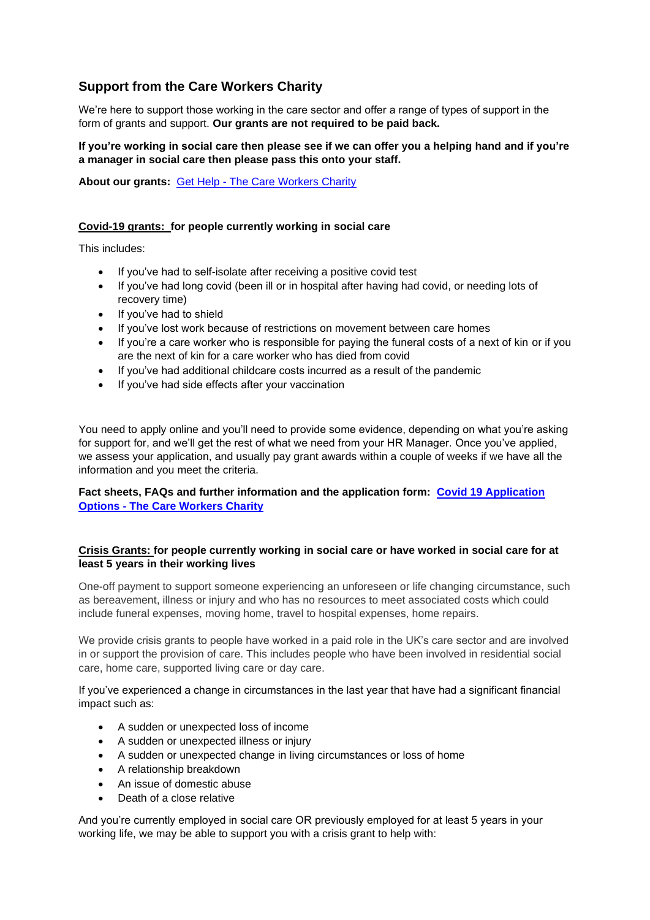# **Support from the Care Workers Charity**

We're here to support those working in the care sector and offer a range of types of support in the form of grants and support. **Our grants are not required to be paid back.**

## **If you're working in social care then please see if we can offer you a helping hand and if you're a manager in social care then please pass this onto your staff.**

**About our grants:** Get Help - [The Care Workers Charity](https://www.thecareworkerscharity.org.uk/get-help/)

## **Covid-19 grants: for people currently working in social care**

This includes:

- If you've had to self-isolate after receiving a positive covid test
- If you've had long covid (been ill or in hospital after having had covid, or needing lots of recovery time)
- If you've had to shield
- If you've lost work because of restrictions on movement between care homes
- If you're a care worker who is responsible for paying the funeral costs of a next of kin or if you are the next of kin for a care worker who has died from covid
- If you've had additional childcare costs incurred as a result of the pandemic
- If you've had side effects after your vaccination

You need to apply online and you'll need to provide some evidence, depending on what you're asking for support for, and we'll get the rest of what we need from your HR Manager. Once you've applied, we assess your application, and usually pay grant awards within a couple of weeks if we have all the information and you meet the criteria.

**Fact sheets, FAQs and further information and the application form: [Covid 19 Application](https://www.thecareworkerscharity.org.uk/covid-19-application-options/)  Options - [The Care Workers Charity](https://www.thecareworkerscharity.org.uk/covid-19-application-options/)**

## **Crisis Grants: for people currently working in social care or have worked in social care for at least 5 years in their working lives**

One-off payment to support someone experiencing an unforeseen or life changing circumstance, such as bereavement, illness or injury and who has no resources to meet associated costs which could include funeral expenses, moving home, travel to hospital expenses, home repairs.

We provide crisis grants to people have worked in a paid role in the UK's care sector and are involved in or support the provision of care. This includes people who have been involved in residential social care, home care, supported living care or day care.

If you've experienced a change in circumstances in the last year that have had a significant financial impact such as:

- A sudden or unexpected loss of income
- A sudden or unexpected illness or injury
- A sudden or unexpected change in living circumstances or loss of home
- A relationship breakdown
- An issue of domestic abuse
- Death of a close relative

And you're currently employed in social care OR previously employed for at least 5 years in your working life, we may be able to support you with a crisis grant to help with: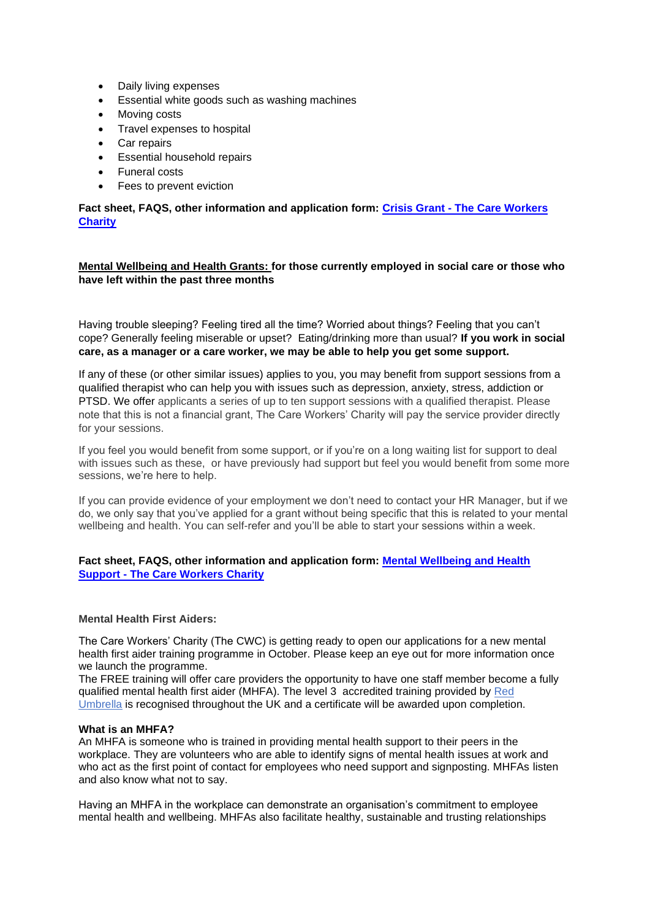- Daily living expenses
- Essential white goods such as washing machines
- Moving costs
- Travel expenses to hospital
- Car repairs
- Essential household repairs
- Funeral costs
- Fees to prevent eviction

**Fact sheet, FAQS, other information and application form: Crisis Grant - [The Care Workers](https://www.thecareworkerscharity.org.uk/crisis-grant/)  [Charity](https://www.thecareworkerscharity.org.uk/crisis-grant/)**

**Mental Wellbeing and Health Grants: for those currently employed in social care or those who have left within the past three months**

Having trouble sleeping? Feeling tired all the time? Worried about things? Feeling that you can't cope? Generally feeling miserable or upset? Eating/drinking more than usual? **If you work in social care, as a manager or a care worker, we may be able to help you get some support.**

If any of these (or other similar issues) applies to you, you may benefit from support sessions from a qualified therapist who can help you with issues such as depression, anxiety, stress, addiction or PTSD. We offer applicants a series of up to ten support sessions with a qualified therapist. Please note that this is not a financial grant, The Care Workers' Charity will pay the service provider directly for your sessions.

If you feel you would benefit from some support, or if you're on a long waiting list for support to deal with issues such as these, or have previously had support but feel you would benefit from some more sessions, we're here to help.

If you can provide evidence of your employment we don't need to contact your HR Manager, but if we do, we only say that you've applied for a grant without being specific that this is related to your mental wellbeing and health. You can self-refer and you'll be able to start your sessions within a week.

## **Fact sheet, FAQS, other information and application form: [Mental Wellbeing and Health](https://www.thecareworkerscharity.org.uk/mental-wellbeing-and-health-support/)  Support - [The Care Workers Charity](https://www.thecareworkerscharity.org.uk/mental-wellbeing-and-health-support/)**

#### **Mental Health First Aiders:**

The Care Workers' Charity (The CWC) is getting ready to open our applications for a new mental health first aider training programme in October. Please keep an eye out for more information once we launch the programme.

The FREE training will offer care providers the opportunity to have one staff member become a fully qualified mental health first aider (MHFA). The level 3 accredited training provided by [Red](https://red-umbrella.co.uk/mental-health-first-aid-training/)  [Umbrella](https://red-umbrella.co.uk/mental-health-first-aid-training/) is recognised throughout the UK and a certificate will be awarded upon completion.

#### **What is an MHFA?**

An MHFA is someone who is trained in providing mental health support to their peers in the workplace. They are volunteers who are able to identify signs of mental health issues at work and who act as the first point of contact for employees who need support and signposting. MHFAs listen and also know what not to say.

Having an MHFA in the workplace can demonstrate an organisation's commitment to employee mental health and wellbeing. MHFAs also facilitate healthy, sustainable and trusting relationships